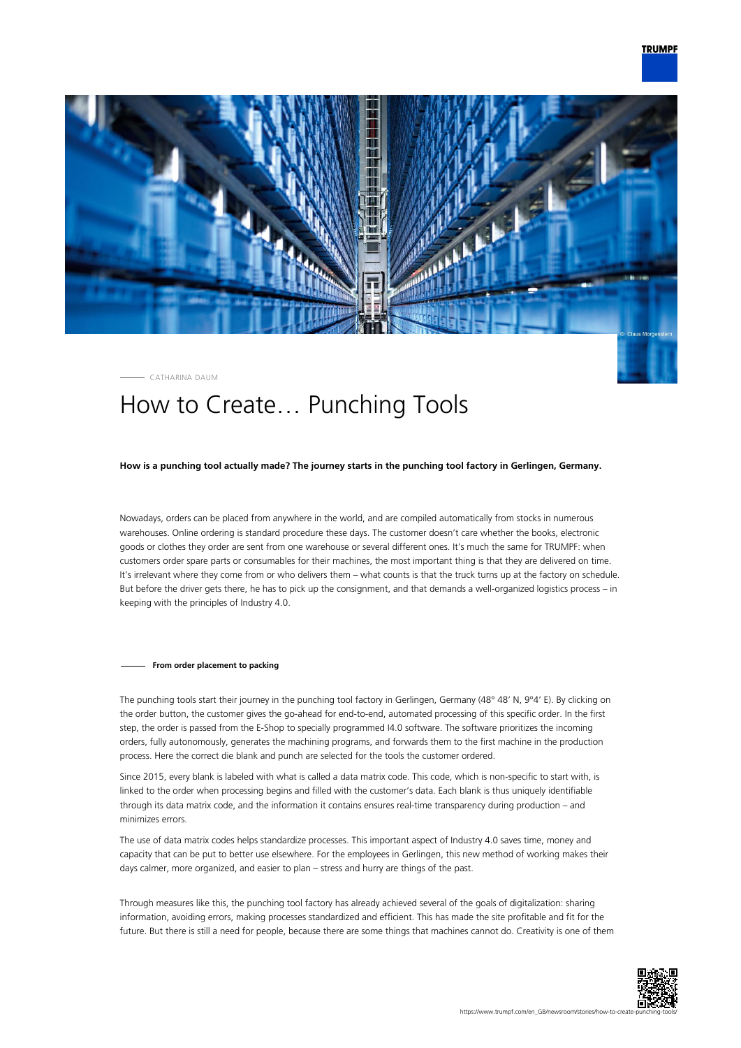

CATHARINA DAUM

## How to Create… Punching Tools

## **How is a punching tool actually made? The journey starts in the punching tool factory in Gerlingen, Germany.**

Nowadays, orders can be placed from anywhere in the world, and are compiled automatically from stocks in numerous warehouses. Online ordering is standard procedure these days. The customer doesn't care whether the books, electronic goods or clothes they order are sent from one warehouse or several different ones. It's much the same for TRUMPF: when customers order spare parts or consumables for their machines, the most important thing is that they are delivered on time. It's irrelevant where they come from or who delivers them – what counts is that the truck turns up at the factory on schedule. But before the driver gets there, he has to pick up the consignment, and that demands a well-organized logistics process – in keeping with the principles of Industry 4.0.

## **From order placement to packing**

The punching tools start their journey in the punching tool factory in Gerlingen, Germany (48° 48' N, 9°4' E). By clicking on the order button, the customer gives the go-ahead for end-to-end, automated processing of this specific order. In the first step, the order is passed from the E-Shop to specially programmed I4.0 software. The software prioritizes the incoming orders, fully autonomously, generates the machining programs, and forwards them to the first machine in the production process. Here the correct die blank and punch are selected for the tools the customer ordered.

Since 2015, every blank is labeled with what is called a data matrix code. This code, which is non-specific to start with, is linked to the order when processing begins and filled with the customer's data. Each blank is thus uniquely identifiable through its data matrix code, and the information it contains ensures real-time transparency during production – and minimizes errors.

The use of data matrix codes helps standardize processes. This important aspect of Industry 4.0 saves time, money and capacity that can be put to better use elsewhere. For the employees in Gerlingen, this new method of working makes their days calmer, more organized, and easier to plan – stress and hurry are things of the past.

Through measures like this, the punching tool factory has already achieved several of the goals of digitalization: sharing information, avoiding errors, making processes standardized and efficient. This has made the site profitable and fit for the future. But there is still a need for people, because there are some things that machines cannot do. Creativity is one of them

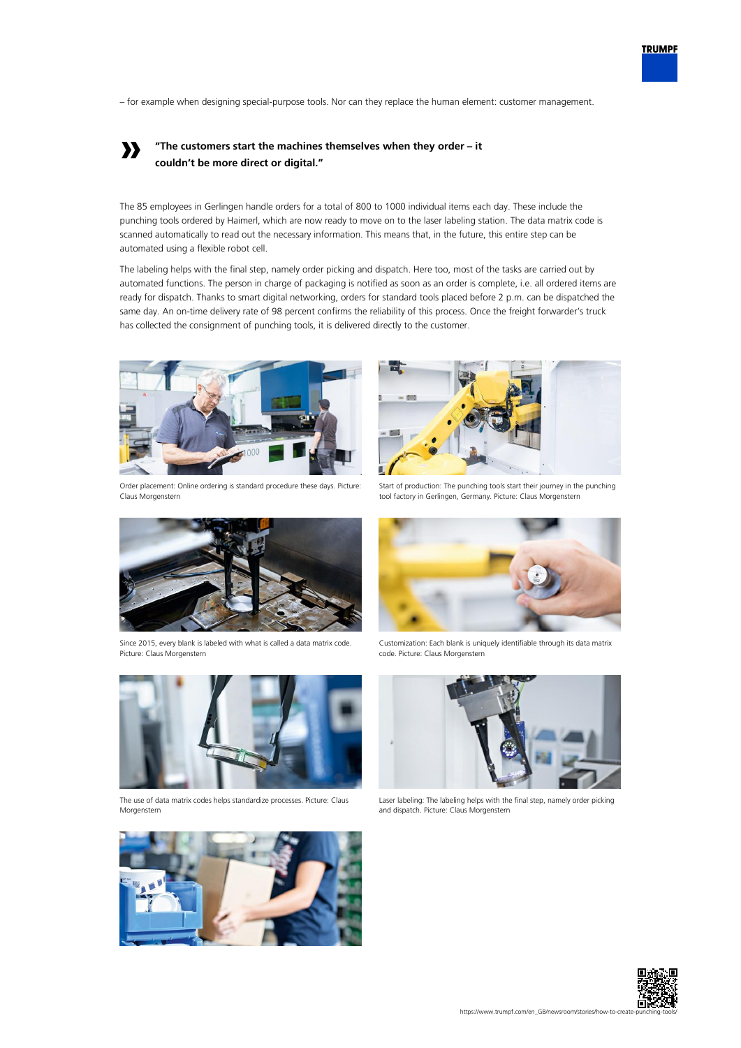– for example when designing special-purpose tools. Nor can they replace the human element: customer management.

## **» "The customers start the machines themselves when they order – it couldn't be more direct or digital."**

The 85 employees in Gerlingen handle orders for a total of 800 to 1000 individual items each day. These include the punching tools ordered by Haimerl, which are now ready to move on to the laser labeling station. The data matrix code is scanned automatically to read out the necessary information. This means that, in the future, this entire step can be automated using a flexible robot cell.

The labeling helps with the final step, namely order picking and dispatch. Here too, most of the tasks are carried out by automated functions. The person in charge of packaging is notified as soon as an order is complete, i.e. all ordered items are ready for dispatch. Thanks to smart digital networking, orders for standard tools placed before 2 p.m. can be dispatched the same day. An on-time delivery rate of 98 percent confirms the reliability of this process. Once the freight forwarder's truck has collected the consignment of punching tools, it is delivered directly to the customer.



Order placement: Online ordering is standard procedure these days. Picture: Claus Morgenstern



Start of production: The punching tools start their journey in the punching tool factory in Gerlingen, Germany. Picture: Claus Morgenstern



Since 2015, every blank is labeled with what is called a data matrix code. Picture: Claus Morgenstern



The use of data matrix codes helps standardize processes. Picture: Claus Morgenstern



Customization: Each blank is uniquely identifiable through its data matrix code. Picture: Claus Morgenstern



Laser labeling: The labeling helps with the final step, namely order picking and dispatch. Picture: Claus Morgenstern